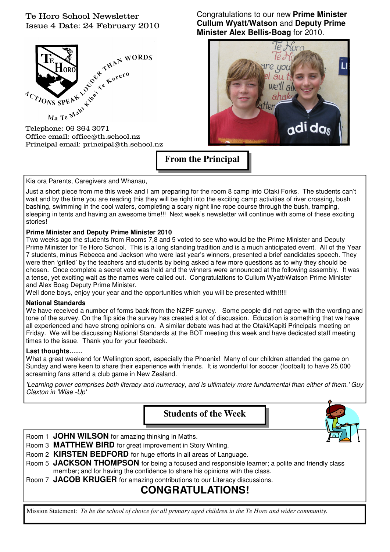## Te Horo School Newsletter Issue 4 Date: 24 February 2010



Office email: office@th.school.nz Principal email: principal@th.school.nz Congratulations to our new **Prime Minister Cullum Wyatt/Watson** and **Deputy Prime Minister Alex Bellis-Boag** for 2010.



**From the Principal** 

Kia ora Parents, Caregivers and Whanau,

Just a short piece from me this week and I am preparing for the room 8 camp into Otaki Forks. The students can't wait and by the time you are reading this they will be right into the exciting camp activities of river crossing, bush bashing, swimming in the cool waters, completing a scary night line rope course through the bush, tramping, sleeping in tents and having an awesome time!!! Next week's newsletter will continue with some of these exciting stories!

### **Prime Minister and Deputy Prime Minister 2010**

Two weeks ago the students from Rooms 7,8 and 5 voted to see who would be the Prime Minister and Deputy Prime Minister for Te Horo School. This is a long standing tradition and is a much anticipated event. All of the Year 7 students, minus Rebecca and Jackson who were last year's winners, presented a brief candidates speech. They were then 'grilled' by the teachers and students by being asked a few more questions as to why they should be chosen. Once complete a secret vote was held and the winners were announced at the following assembly. It was a tense, yet exciting wait as the names were called out. Congratulations to Cullum Wyatt/Watson Prime Minister and Alex Boag Deputy Prime Minister.

Well done boys, enjoy your year and the opportunities which you will be presented with!!!!!

### **National Standards**

We have received a number of forms back from the NZPF survey. Some people did not agree with the wording and tone of the survey. On the flip side the survey has created a lot of discussion. Education is something that we have all experienced and have strong opinions on. A similar debate was had at the Otaki/Kapiti Principals meeting on Friday. We will be discussing National Standards at the BOT meeting this week and have dedicated staff meeting times to the issue. Thank you for your feedback.

### **Last thoughts……**

What a great weekend for Wellington sport, especially the Phoenix! Many of our children attended the game on Sunday and were keen to share their experience with friends. It is wonderful for soccer (football) to have 25,000 screaming fans attend a club game in New Zealand.

'Learning power comprises both literacy and numeracy, and is ultimately more fundamental than either of them.' Guy Claxton in 'Wise -Up'

**Students of the Week**  Room 1 **JOHN WILSON** for amazing thinking in Maths. Room 3 **MATTHEW BIRD** for great improvement in Story Writing. Room 2 **KIRSTEN BEDFORD** for huge efforts in all areas of Language. Room 5 **JACKSON THOMPSON** for being a focused and responsible learner; a polite and friendly class member; and for having the confidence to share his opinions with the class.

Room 7 **JACOB KRUGER** for amazing contributions to our Literacy discussions.

# **CONGRATULATIONS!**

Mission Statement: *To be the school of choice for all primary aged children in the Te Horo and wider community.*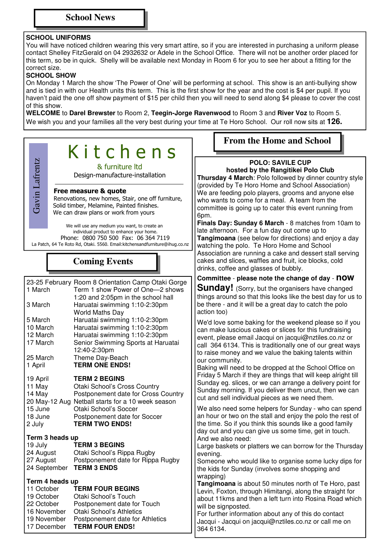### **SCHOOL UNIFORMS**

You will have noticed children wearing this very smart attire, so if you are interested in purchasing a uniform please contact Shelley FitzGerald on 04 2932632 or Adele in the School Office. There will not be another order placed for this term, so be in quick. Shelly will be available next Monday in Room 6 for you to see her about a fitting for the correct size.

#### **SCHOOL SHOW**

On Monday 1 March the show 'The Power of One' will be performing at school. This show is an anti-bullying show and is tied in with our Health units this term. This is the first show for the year and the cost is \$4 per pupil. If you haven't paid the one off show payment of \$15 per child then you will need to send along \$4 please to cover the cost of this show.

**WELCOME** to **Darel Brewster** to Room 2, **Teegin-Jorge Ravenwood** to Room 3 and **River Voz** to Room 5. We wish you and your families all the very best during your time at Te Horo School. Our roll now sits at **126.** 

|                                                                                                        | Kitchens                                                                                                                                                                                                                                  | <b>From the Home and School</b>                                                                                                                                                                                                                                                                                                                                                  |
|--------------------------------------------------------------------------------------------------------|-------------------------------------------------------------------------------------------------------------------------------------------------------------------------------------------------------------------------------------------|----------------------------------------------------------------------------------------------------------------------------------------------------------------------------------------------------------------------------------------------------------------------------------------------------------------------------------------------------------------------------------|
| Gavin Lafrentz                                                                                         | & furniture Itd<br>Design-manufacture-installation<br>Free measure & quote<br>Renovations, new homes, Stair, one off furniture,<br>Solid timber, Melamine, Painted finishes.<br>We can draw plans or work from yours                      | <b>POLO: SAVILE CUP</b><br>hosted by the Rangitikei Polo Club<br>Thursday 4 March: Polo followed by dinner country style<br>(provided by Te Horo Home and School Association)<br>We are feeding polo players, grooms and anyone else<br>who wants to come for a meal. A team from the<br>committee is going up to cater this event running from                                  |
|                                                                                                        | We will use any medium you want, to create an<br>individual product to enhance your home.<br>Phone: 0800 750 500 Fax: 06 364 7119<br>La Patch, 64 Te Roto Rd, Otaki. 5560. Email: kitchensandfurniture@ihug.co.nz<br><b>Coming Events</b> | 6pm.<br>Finals Day: Sunday 6 March - 8 matches from 10am to<br>late afternoon. For a fun day out come up to<br>Tangimoana (see below for directions) and enjoy a day<br>watching the polo. Te Horo Home and School<br>Association are running a cake and dessert stall serving<br>cakes and slices, waffles and fruit, ice blocks, cold<br>drinks, coffee and glasses of bubbly. |
| 23-25 February Room 8 Orientation Camp Otaki Gorge                                                     |                                                                                                                                                                                                                                           | Committee - please note the change of day - NOW                                                                                                                                                                                                                                                                                                                                  |
| 1 March<br>3 March<br>5 March                                                                          | Term 1 show Power of One-2 shows<br>1:20 and 2:05pm in the school hall<br>Haruatai swimming 1:10-2:30pm<br><b>World Maths Day</b><br>Haruatai swimming 1:10-2:30pm                                                                        | <b>Sunday!</b> (Sorry, but the organisers have changed<br>things around so that this looks like the best day for us to<br>be there - and it will be a great day to catch the polo<br>action too)                                                                                                                                                                                 |
| 10 March<br>12 March<br>17 March<br>25 March                                                           | Haruatai swimming 1:10-2:30pm<br>Haruatai swimming 1:10-2:30pm<br>Senior Swimming Sports at Haruatai<br>12:40-2:30pm<br>Theme Day-Beach                                                                                                   | We'd love some baking for the weekend please so if you<br>can make luscious cakes or slices for this fundraising<br>event, please email Jacqui on jacqui@nztiles.co.nz or<br>call 364 6134. This is traditionally one of our great ways<br>to raise money and we value the baking talents within<br>our community.                                                               |
| 1 April<br>19 April<br>11 May<br>14 May                                                                | <b>TERM ONE ENDS!</b><br><b>TERM 2 BEGINS</b><br>Otaki School's Cross Country<br>Postponement date for Cross Country<br>20 May-12 Aug Netball starts for a 10 week season                                                                 | Baking will need to be dropped at the School Office on<br>Friday 5 March if they are things that will keep alright till<br>Sunday eg. slices, or we can arrange a delivery point for<br>Sunday morning. If you deliver them uncut, then we can<br>cut and sell individual pieces as we need them.                                                                                |
| 15 June<br>18 June<br>2 July<br>Term 3 heads up                                                        | Otaki School's Soccer<br>Postponement date for Soccer<br><b>TERM TWO ENDS!</b>                                                                                                                                                            | We also need some helpers for Sunday - who can spend<br>an hour or two on the stall and enjoy the polo the rest of<br>the time. So if you think this sounds like a good family<br>day out and you can give us some time, get in touch.<br>And we also need:                                                                                                                      |
| 19 July<br>24 August<br>27 August<br>24 September                                                      | <b>TERM 3 BEGINS</b><br>Otaki School's Rippa Rugby<br>Postponement date for Rippa Rugby<br><b>TERM 3 ENDS</b>                                                                                                                             | Large baskets or platters we can borrow for the Thursday<br>evening.<br>Someone who would like to organise some lucky dips for<br>the kids for Sunday (involves some shopping and<br>wrapping)                                                                                                                                                                                   |
| Term 4 heads up<br>11 October<br>19 October<br>22 October<br>16 November<br>19 November<br>17 December | <b>TERM FOUR BEGINS</b><br>Otaki School's Touch<br>Postponement date for Touch<br><b>Otaki School's Athletics</b><br>Postponement date for Athletics<br><b>TERM FOUR ENDS!</b>                                                            | Tangimoana is about 50 minutes north of Te Horo, past<br>Levin, Foxton, through Himitangi, along the straight for<br>about 11kms and then a left turn into Rosina Road which<br>will be signposted.<br>For further information about any of this do contact<br>Jacqui - Jacqui on jacqui@nztiles.co.nz or call me on<br>364 6134.                                                |